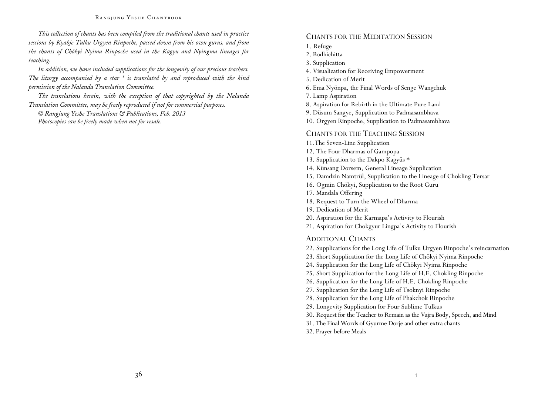*This collection of chants has been compiled from the traditional chants used in practice sessions by Kyabje Tulku Urgyen Rinpoche, passed down from his own gurus, and from the chants of Chökyi Nyima Rinpoche used in the Kagyu and Nyingma lineages for teaching.* 

*In addition, we have included supplications for the longevity of our precious teachers. The liturgy accompanied by a star \* is translated by and reproduced with the kind permission of the Nalanda Translation Committee.* 

*The translations herein, with the exception of that copyrighted by the Nalanda Translation Committee, may be freely reproduced if not for commercial purposes.* 

*© Rangjung Yeshe Translations & Publications, Feb. 2013 Photocopies can be freely made when not for resale.* 

#### CHANTS FOR THE MEDITATION SESSION

1. Refuge

2. Bodhichitta

3. Supplication

4. Visualization for Receiving Empowerment

5. Dedication of Merit

6. Ema Nyönpa, the Final Words of Senge Wangchuk

7. Lamp Aspiration

8. Aspiration for Rebirth in the Ultimate Pure Land

9. Düsum Sangye, Supplication to Padmasambhava

10. Orgyen Rinpoche, Supplication to Padmasambhava

#### CHANTS FOR THE TEACHING SESSION

11.The Seven-Line Supplication

12. The Four Dharmas of Gampopa

13. Supplication to the Dakpo Kagyüs \*

14. Künsang Dorsem, General Lineage Supplication

15. Damdzin Namtrül, Supplication to the Lineage of Chokling Tersar

16. Ogmin Chökyi, Supplication to the Root Guru

17. Mandala Offering

18. Request to Turn the Wheel of Dharma

19. Dedication of Merit

20. Aspiration for the Karmapa's Activity to Flourish

21. Aspiration for Chokgyur Lingpa's Activity to Flourish

#### ADDITIONAL CHANTS

22. Supplications for the Long Life of Tulku Urgyen Rinpoche's reincarnation

23. Short Supplication for the Long Life of Chökyi Nyima Rinpoche

24. Supplication for the Long Life of Chökyi Nyima Rinpoche

25. Short Supplication for the Long Life of H.E. Chokling Rinpoche

26. Supplication for the Long Life of H.E. Chokling Rinpoche

27. Supplication for the Long Life of Tsoknyi Rinpoche

28. Supplication for the Long Life of Phakchok Rinpoche

29. Longevity Supplication for Four Sublime Tulkus

30. Request for the Teacher to Remain as the Vajra Body, Speech, and Mind

31. The Final Words of Gyurme Dorje and other extra chants

32. Prayer before Meals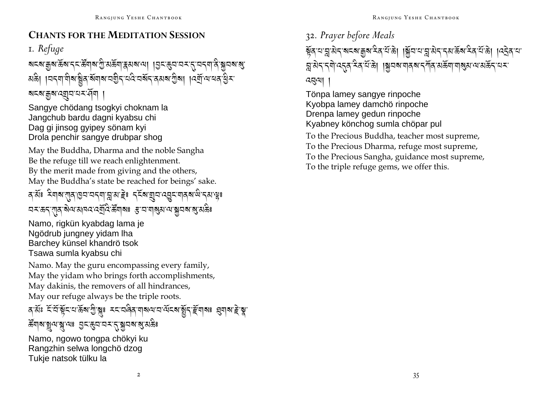### **CHANTS FOR THE MEDITATION SESSION**

I. Refuge

য়ৼৼৗড়৸ড়ৼ৸ৼৼ৻ড়ৢ৸৶য়৽ঀৗৣ৻য়ড়ৢয়৾৸ঀয়৸৸৸৾ঀৗৼ৻ড়৸ড়৸ৼ৻ড়৸ৼ৻৸৸ৼ৻৸ড়৻ अक्षे। । यदया गेबाञ्चेद बॅगबाय गुरु यदि यबेंद दयबा गुबा । देवी या यद हुन 

Sangye chödang tsogkyi choknam la Jangchub bardu dagni kyabsu chi Dag gi jinsog gyipey sönam kyi Drola penchir sangye drubpar shog

May the Buddha, Dharma and the noble Sangha Be the refuge till we reach enlightenment. By the merit made from giving and the others, May the Buddha's state be reached for beings' sake.

ৰ মঁঃ মিৰাম'য়াৰ ভিন'নৰ মা'ন্ন'ম'ইঃ ব্ৰমাত্মন'ৰেন্নুম'নাৰ ম'ল্ল'ম' মুঃ অমন্তন্ শূৰ্ষিঅআনব্দেৰ্ঘ্ৰবিস্ক্ৰিতাৰঃ স্তুত্বত্বাৰ্ষ্ণমূলৰাৰ্ত্ত্বস্তিঃ

Namo, rigkün kyabdag lama je Ngödrub jungney yidam lha Barchey künsel khandrö tsok Tsawa sumla kyabsu chi

Namo. May the guru encompassing every family, May the yidam who brings forth accomplishments, May dakinis, the removers of all hindrances, May our refuge always be the triple roots.

## বর্ত্তঃ ইন্দ্রিষ্ট্রেম্ব্রিষ্ট্রাষ্ণ মহাত্রবির্ত্তাব্রামন্য ব্রিষ্ট্রাইন্দ্র্য প্রবার্ষ্ট্রাষ্ণ

### 

Namo, ngowo tongpa chökvi ku Rangzhin selwa longchö dzog Tukie natsok tülku la

32. Prayer before Meals

ब्रुँव या तु सेन बादबा कुबादेव ये के । ब्रिंच या तु सेन नया केंबादेव ये के । । यनेवाया য়ৢৢॱয়৾ঀ৲ৼঀৗৢ৻ৼঀৼ৻৸ৼ৻৸য়ৣ৾ঀৗ৸৸য়৸ঢ়৸য়৸৸৸৸৸৸ৼ৻৸ৼ৻৸৸৸৸ৼ৻৸৸৸ হেন্নথা

Tönpa lamey sangye rinpoche Kyobpa lamey damchö rinpoche Drenpa lamey gedun rinpoche Kyabney könchog sumla chöpar pul

To the Precious Buddha, teacher most supreme, To the Precious Dharma, refuge most supreme, To the Precious Sangha, guidance most supreme, To the triple refuge gems, we offer this.

 $\overline{2}$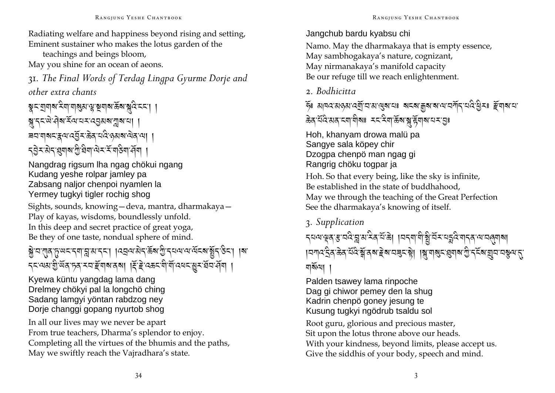Radiating welfare and happiness beyond rising and setting, Eminent sustainer who makes the lotus garden of the

teachings and beings bloom, May you shine for an ocean of aeons.

31. The Final Words of Terdag Lingpa Gyurme Dorje and other extra chants

য়ৢৼৼঢ়ঢ়৸য়ৼৼয়ৗয়ৗ৶ড়৻ড়৻ড়য়ঢ়৸ড়৻ড়৸ড়৻ড়৸ড়৻ড়৸ড়৻ড়৸ ৠ৴ৼড়৻৸ৣ৸ৼৢৼ৸ৼ৸ৼ৻ৼঀৗ৵য়ৗ৶ৼৗ *ৼ৾*ঀৢৼ৻ড়ৼ৻ৠ৶য়ৢঢ়ড়৻ড়৸৻ড়৸ৼ৻ৼ৻৸৻

Nangdrag rigsum lha ngag chökui ngang Kudang yeshe rolpar jamley pa Zabsang naljor chenpoi nyamlen la Yermey tugkyi tigler rochig shog

Sights, sounds, knowing - deva, mantra, dharmakaya -Play of kayas, wisdoms, boundlessly unfold. In this deep and secret practice of great yoga, Be they of one taste, nondual sphere of mind.

## ब्रेज राज संख्या के अपने का विद्यालय पुरे क्षेत्र के संस्था प्रोटर के संस्था का ৲≍'ঝঝ'য়ু অঞ্চী মুখ নাই আৰু এন এন এন এন এন এন এন এন এন এন এ

Kvewa küntu yangdag lama dang Drelmey chökyi pal la longchö ching Sadang lamgyi yöntan rabdzog ney Dorie changgi gopang nyurtob shog

In all our lives may we never be apart From true teachers, Dharma's splendor to enjoy. Completing all the virtues of the bhumis and the paths, May we swiftly reach the Vajradhara's state.

#### Jangchub bardu kyabsu chi

Namo. May the dharmakaya that is empty essence, May sambhogakaya's nature, cognizant, May nirmanakaya's manifold capacity Be our refuge till we reach enlightenment.

### 2. Bodhicitta

ক্টঃ ঝানব'মান মাৰ্মান'ম' মুৰা'নাঃ ৰাহৰা' ক্ৰুৰা'ৰা'ন'মনীন'মান্ত ব্ৰিমঃ দ্ৰীৰামানা ऊेव येदि अव दवा वीवाः सदासेवा ऊर्वासु स्वाव यस युः

Hoh, khanyam drowa malü pa Sangye sala köpey chir Dzogpa chenpö man ngag gi Rangrig chöku togpar ja

Hoh. So that every being, like the sky is infinite, Be established in the state of buddhahood. May we through the teaching of the Great Perfection See the dharmakaya's knowing of itself.

# 3. Supplication

्द्यवाञ्चत् सायदे त्नु अस्ति याञ्चा ।यदवाबीञ्चे यस्यक्षये बादवाबाबा य़ॎग़ढ़ॱड़ॖऀॺॱऄॺॱय़ॕढ़ऀॱॺॕॣॱॺॺॱॾॆॺॱय़ॾड़ॱऄॖॖॱॎऻॺॢॱॺऻॺॖड़ॱख़ॖॺऻॺॱग़ॗऀॱॸ॔ड़ॕॺॱॺॖय़ॱय़ॷॺॱॸॣॱ ন্মৰ্মন্মে।

Palden tsawey lama rinpoche Dag gi chiwor pemey den la shug Kadrin chenpö goney jesung te Kusung tugkyi ngödrub tsaldu sol

Root guru, glorious and precious master, Sit upon the lotus throne above our heads. With your kindness, beyond limits, please accept us. Give the siddhis of your body, speech and mind.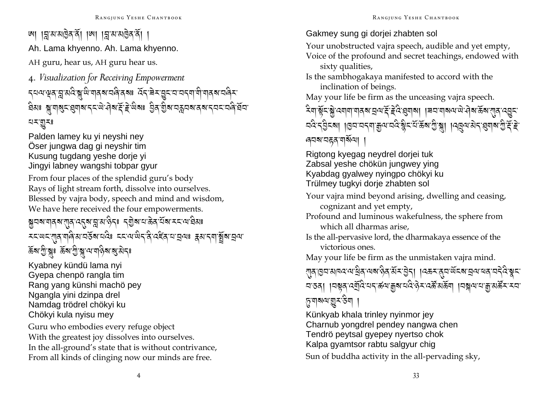'আ ।র'ম'মাইন'র্না ।আ ।র'ম'মাইন'র্না । Ah. Lama khyenno. Ah. Lama khyenno. AH guru, hear us, AH guru hear us. <sup>4</sup>*. Visualization for Receiving Empowerment*  ন্মন্মস্ত্ৰ'ম্লুম্মই'ষ্ক্ৰ'ন্ডি'বাৰ্ম্ম'নৰি'ৰ্মঃ হৈঁব'ৰ্ম্ম'ত্ৰ্ম'নৰ্ম্ম'নাৰ্ম'নৰিম' ষিষঃ ৠ়্মাৰ্যম্প্ৰেমাৰ্মান্*মা*ঐৰাৰ্দ্লাইজিৰা ট্ৰিয় গ্ৰীৰামন্ত্ৰীৰ বিদ্যালয় কৰি বিদ্যা ব্যম্ভূ্বঃ

Palden lamey ku yi neyshi ney Öser jungwa dag gi neyshir tim Kusung tugdang yeshe dorje yi Jingyi labney wangshi tobpar gyur

From four places of the splendid guru's body Rays of light stream forth, dissolve into ourselves. Blessed by vajra body, speech and mind and wisdom, We have here received the four empowerments.

ষ্কুনৰ নাৰ্নৰ ব্যুৰ পেন্নৰ বিদ্যালয়ৰ পৰিষদ কৰি বিদ্যালয়ৰ বিদ্যালয়ৰ স্থা মমজ্যেমন্ত্ৰীৰ সমূহৰ সমূহৰ সমূহৰ সমূহৰ সমূহৰ সমূহৰ সমূহৰ সমূহৰ সমূহৰ সমূহৰ সমূহৰ সমূহৰ সমূহৰ সমূহৰ সমূহৰ সমূহৰ ৰ্ক্লৰা ব্ৰীষ্ণুঃ ৰ্ক্লৰা ব্ৰীষ্ণু বাত্ৰবিদ্যালী কৰি

Kyabney kündü lama nyi Gyepa chenpö rangla tim Rang yang künshi machö pey Ngangla yini dzinpa drel Namdag trödrel chökyi ku Chökyi kula nyisu mey

Guru who embodies every refuge object With the greatest joy dissolves into ourselves. In the all-ground's state that is without contrivance, From all kinds of clinging now our minds are free.

Gakmey sung gi dorjei zhabten sol

Your unobstructed vajra speech, audible and yet empty, Voice of the profound and secret teachings, endowed with sixty qualities,

Is the sambhogakaya manifested to accord with the inclination of beings.

May your life be firm as the unceasing vajra speech.

<sup>&</sup>lt;<sup>A</sup>\$- !<sup>R</sup>%- \*<sup>J</sup>- :\$\$- \$/?- V=- h<sup>R</sup>- e<sup>J</sup> :<sup>A</sup>- ,\$?, ,92- \$?=- ;<sup>J</sup>- ><sup>J</sup>?- (<sup>R</sup>?- !/- :L%- বৰ্তন ব্ৰিচৰা ।।এন বৰ্ণমাখ্ৰীৰ বৰ্ত্তন পূৰ্ত্ত প্ৰাৰ্থ পৰিবৰ্ত্তন প্ৰমাজ হৈছি ৰ্ঘম'নহন'মৰ্মিন্মা

Rigtong kyegag neydrel dorjei tuk Zabsal yeshe chökün jungwey ying Kyabdag gyalwey nyingpo chökyi ku Trülmey tugkyi dorje zhabten sol

Your vajra mind beyond arising, dwelling and ceasing, cognizant and yet empty,

Profound and luminous wakefulness, the sphere from which all dharmas arise,

Is the all-pervasive lord, the dharmakaya essence of the victorious ones.

May your life be firm as the unmistaken vajra mind.

ત્યુવા૭વાચાવવાયાક્ષેવાયજ્ઞાલેવાર્શેના કેન્|ાવક્રમલુવાર્ભેદજ્ઞાવ્રાયલવાવદેવાર્ક્ષદા ন ৪ৰা । বিষ্ণুৰ ৰেম্ৰ্ব্ৰিয়েন স্কুৰ মন্ত্ৰী সম্ভৱ প্ৰক্লা । বিষ্ণীৰ মাৰ্শ্ৰী গ্ৰস্কুৰ স্ব 8.<sub>य</sub>|ञज्ञी विद्यम्

Künkyab khala trinley nyinmor jey Charnub yongdrel pendey nangwa chen Tendrö peytsal gyepey nyertso chok Kalpa gyamtsor rabtu salgyur chig Sun of buddha activity in the all-pervading sky,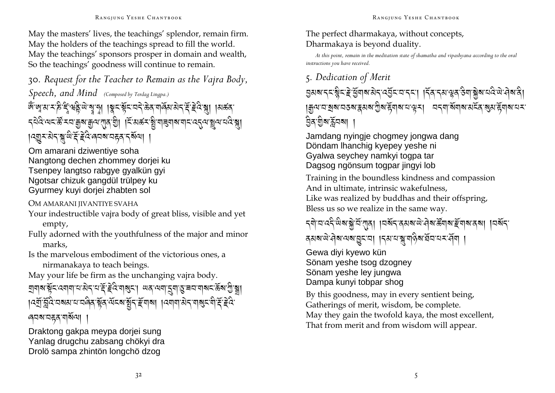May the masters' lives, the teachings' splendor, remain firm. May the holders of the teachings spread to fill the world. May the teachings' sponsors prosper in domain and wealth, So the teachings' goodness will continue to remain.

### 30. Request for the Teacher to Remain as the Vajra Body, Speech, and Mind (Composed by Terdag Lingpa.)

জ্ঞান কৰি বিৰুদ্ধ কৰি পৰি পৰি পৰি প্ৰাৰ্থ কৰি পৰি পৰি পৰি পৰি পৰি পৰি পৰি ८ वेदि यदक्षि रूप कुष कुष रात्र है। । दि सर्वन हैं या बया बान दत्य ह्वय व दे ब्रा เวตรามีรัฐ ติรัฐธิวิตาม สสุด รัฐชา

Om amarani dziwentiye soha Nangtong dechen zhommey doriei ku Tsenpey langtso rabgye gyalkün gyi Ngotsar chizuk gangdül trülpey ku Gyurmey kuyi dorjei zhabten sol

OM AMARANI JIVANTIYE SVAHA

Your indestructible vajra body of great bliss, visible and yet empty,

Fully adorned with the youthfulness of the major and minor marks.

Is the marvelous embodiment of the victorious ones, a nirmanakaya to teach beings.

May your life be firm as the unchanging vajra body.

য়ঀয়ৼয়ৼৼ৻য়ঀঀৢৼ৻য়ঀৼ৻৸ৼৼড়৻ড়৻৸ঀঀৼ৻৸৸৸ৼঀ৻৸ঀ৻ৼ৻ড়৸৸৸ৼ৻ড়৸য়ৗড়৻৸ । दर्गु क्लंदे चबबाय चलेव ब्रॅंब सेंदब ब्रॅंड्र हॅमबा । दमाना बेद माबुद मी दें हे दे ৰ্ঘম'নহ্নম'মিৰ্মিণ।

Draktong gakpa meypa doriei sung Yanlag drugchu zabsang chökyi dra Drolö sampa zhintön longchö dzog

#### The perfect dharmakaya, without concepts, Dharmakaya is beyond duality.

At this point, remain in the meditation state of shamatha and vipashyana according to the oral instructions you have received.

### 5. Dedication of Merit

| जुत्पादा बुबादउबाद्वसबा गुबाद्गवाबादा सूर। विद्या बाबाबासदेवा बुसाद्गवादार වූর<sup>.</sup>গ্রুষার্ক্লবেষা

Jamdang nyingje chogmey jongwa dang Döndam Ihanchig kyepey yeshe ni Gyalwa seychey namkyi toqpa tar Dagsog ngönsum togpar jingyi lob

Training in the boundless kindness and compassion And in ultimate, intrinsic wakefulness, Like was realized by buddhas and their offspring, Bless us so we realize in the same way.

# *ন্*ণাঅ'ৰ্মে'অৰাষ্ণীৰ্মীয়াৰ। ।অৰ্থন'ৰ্মৰাজ'ৰীৰাজ'ৰ্ইমাৰাৰ্মা। ।অৰ্থন'

বমৰ জৰি অৰাগ্ৰনৰ। বিমান স্ক্ৰীয় ব্ৰিনান কৰি ।

Gewa diyi kyewo kün Sönam yeshe tsog dzogney Sönam yeshe ley jungwa Dampa kunyi tobpar shog

By this goodness, may in every sentient being, Gatherings of merit, wisdom, be complete. May they gain the twofold kaya, the most excellent, That from merit and from wisdom will appear.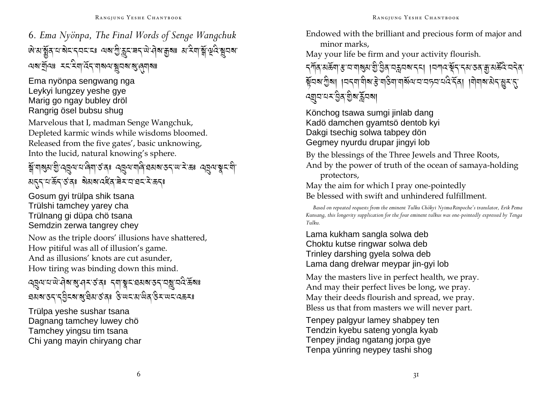6. Ema Nyönpa, The Final Words of Senge Wangchuk জয়ার্ষ্ণুর্বামার্ষনাব্যনেঃ অৰাণ্ট্রাক্লনের্বামান্ত্রৰাঃ মামিনার্ষ্ণাণ্ট্র্যিষ্ণুনৰা অমন্ত্ৰীনঃ মমমিলাৰ্থন আৰু সম্বান্ত প্ৰদা

Ema nyönpa sengwang nga Leykyi lungzey yeshe gye Marig go ngay bubley dröl Rangrig ösel bubsu shug

Marvelous that I, madman Senge Wangchuk, Depleted karmic winds while wisdoms bloomed. Released from the five gates', basic unknowing, Into the lucid, natural knowing's sphere.

### क्लैं गड़ा राज्य के व्यापार के प्रदेश के अधिकार प्रदेश कर प्रतिकार के स्वयं से द्वारा से स्वयं สธุราย รัฐ รัสะ สิมสงส์สามมายมาราช

Gosum gyi trülpa shik tsana Trülshi tamchey yarey cha Trülnang gi düpa chö tsana Semdzin zerwa tangrey chey

Now as the triple doors' illusions have shattered, How pitiful was all of illusion's game. And as illusions' knots are cut asunder. How tiring was binding down this mind.

প্র্যান্মান্ত্রী ব্যার্থ বিষ্ণু ব্রাষ্ট্রন ব্রয় ব্রান্ত ব্রয় ব্রয় ব্রয় বিষ্ণু **ঘমৰাতনান্ট্ৰিনৰাৰাষ্ট্ৰমাৰ্ভনঃ উ**ত্তানমাজিক উন্মলনেক্কনঃ

Trülpa yeshe sushar tsana Dagnang tamchey luwey chö Tamchey yingsu tim tsana Chi yang mayin chiryang char Endowed with the brilliant and precious form of major and minor marks.

May your life be firm and your activity flourish.

*ॸऺ*ग़ॕॺॱॺകॕॺॱड़ॱय़ॱॺऻॺॖॖॺॱॻॖऀॱॶॖऀॺॱय़क़ॣय़ॺॱॸॸऻॱऻय़ॴय़ॱॺॕॣॸॱॸॺॱऊॷॹॱॹख़ॕऀय़॓ॱय़ॸॆॺॱ য়ুঁঘৰ গ্ৰীৰা ।ঘৰ্ণাধীৰ উদাইণাধৰ্ষিত ঘৰ্ষৰ ঘটাৰ বিদ্যালয়ৰ প্ৰমান ৰ্য্ৰ্মান্মমন্ত্ৰীৰ মুঁৱৰ মা

Könchog tsawa sumgi jinlab dang Kadö damchen gyamtsö dentob kyi Dakgi tsechig solwa tabpey dön Gegmey nyurdu drupar jingyi lob

By the blessings of the Three Jewels and Three Roots, And by the power of truth of the ocean of samaya-holding protectors,

May the aim for which I pray one-pointedly Be blessed with swift and unhindered fulfillment

Based on repeated requests from the eminent Tulku Chökyi Nyima Rinpoche's translator, Erik Pema Kunsang, this longevity supplication for the four eminent tulkus was one-pointedly expressed by Tenga Tulku.

Lama kukham sangla solwa deb Choktu kutse ringwar solwa deb Trinley darshing qyela solwa deb Lama dang drelwar meypar jin-gyi lob

May the masters live in perfect health, we pray. And may their perfect lives be long, we pray. May their deeds flourish and spread, we pray. Bless us that from masters we will never part.

Tenpey palgyur lamey shabpey ten Tendzin kyebu sateng yongla kyab Tenpey jindag ngatang jorpa gye Tenpa yünring neypey tashi shoq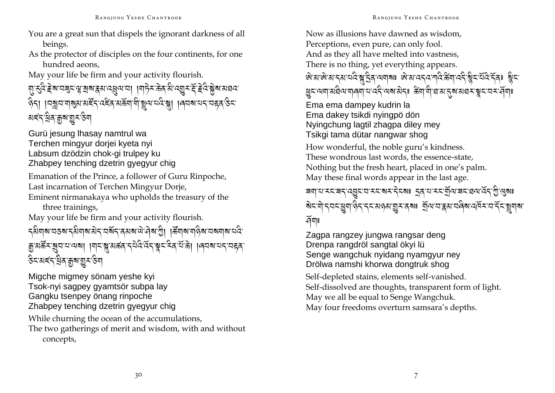- You are a great sun that dispels the ignorant darkness of all beings.
- As the protector of disciples on the four continents, for one hundred aeons.

May your life be firm and your activity flourish.

# য়ৢৼ৻ঽ৾ৼ৾য়ৼঀয়ৼ৻ৠৠ৶ৼয়৻৻ৼয়৸৻৸৾য়৸ঢ়৸৻ড়৾ৼ৻ড়৸ড়৸ৼ৻ৼ৻ড়৸ৼ৻ৼ৻ৼ৾ৼ৻ केना । मञ्जय गञ्जय अर्हेन दहन अर्क्ष्मा शे ञ्चय पदि ञ्जा । बियवायन महत उद মৰ্হ্ন খ্ৰিম্বৰুম্ভূ্ৰ উন্ম

Gurü jesung Ihasay namtrul wa Terchen mingyur dorjei kyeta nyi Labsum dzödzin chok-gi trulpey ku Zhabpey tenching dzetrin gyegyur chig

Emanation of the Prince, a follower of Guru Rinpoche, Last incarnation of Terchen Mingyur Dorje, Eminent nirmanakaya who upholds the treasury of the

three trainings,

May your life be firm and your activity flourish.

ॸऄॺऻॺॱय़ड़ॺॱॸऄॺऻॺॱऄॸॱय़ॺॕॸॱढ़ॺॺॱऄॱऄॺॱॻॖ॓ॎऻऄॕ॔ॺऻॺॱॺऻढ़ॆॺॱय़ॺॺऻॺॱय़ढ़ऀॱ ক্কুমৰ্ক্ষ যুন ন'নৰা ।শনস্কুমৰ্ক্ষ ব্ৰহ্ম হৈ স্কুন ইন্দ্ৰ' এৰি পৰা নাৰাই *ষ্টমামৰ্শ শ্ৰিম ব্ৰম্বা*ন্ত্ৰী

Migche migmey sönam yeshe kyi Tsok-nyi saqpey qyamtsör subpa lay Gangku tsenpey önang rinpoche Zhabpey tenching dzetrin gyegyur chig While churning the ocean of the accumulations, The two gatherings of merit and wisdom, with and without concepts,

Now as illusions have dawned as wisdom. Perceptions, even pure, can only fool. And as they all have melted into vastness, There is no thing, yet everything appears. षि अपाले आ दरा यदि बादि व त्यावादा का अप्यादद या दि बिना दि बुदा यदि देवा बुदा युद्रव्यवासंघेव्ययालयाय देन व्यवासेदः अवायो घटा तवास्य व्यवस्थानके Ema ema dampey kudrin la Ema dakev tsikdi nvingpö dön Nyingchung lagtil zhagpa diley mey Tsikgi tama dütar nangwar shog How wonderful, the noble guru's kindness. These wondrous last words, the essence-state, Nothing but the fresh heart, placed in one's palm. May these final words appear in the last age. ৰণাৰাৰবাৰৰ পেৰ্তীৰোৰবাৰৰ প্ৰাপ্ত স্থাপন কৰি আৰু প্ৰাপ্ত স্থিত স্থা बेदभो दयदञ्जा छेद ददअछ गुरु दब है बुलाय द्वय यदिवा वर्षे दा देव बाबा  $\widetilde{A}^{\pi}$ 

Zagpa rangzey jungwa rangsar deng Drenpa rangdröl sangtal ökyi lü Senge wangchuk nyidang nyamgyur ney Drölwa namshi khorwa dongtruk shog

Self-depleted stains, elements self-vanished. Self-dissolved are thoughts, transparent form of light. May we all be equal to Senge Wangchuk. May four freedoms overturn samsara's depths.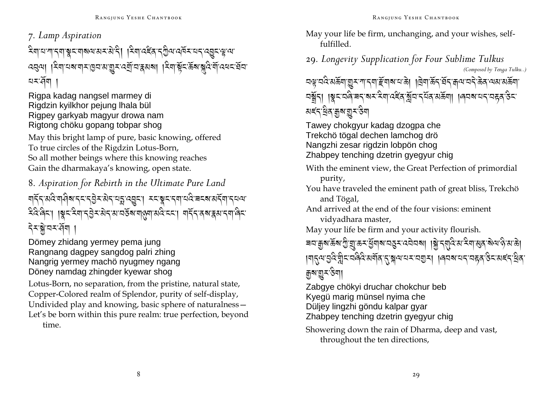7. Lamp Aspiration

देवायानादवाञ्चयाववयासरासेदी । देवादद्देवाद्गुत्यादविरायदादयुदासूप्या ঘমর্শি

Rigpa kadag nangsel marmey di Rigdzin kyilkhor pejung Ihala bül Rigpey garkyab magyur drowa nam Rigtong chöku gopang tobpar shog

May this bright lamp of pure, basic knowing, offered To true circles of the Rigdzin Lotus-Born, So all mother beings where this knowing reaches Gain the dharmakaya's knowing, open state.

8. Aspiration for Rebirth in the Ultimate Pure Land

मद्रं अदिः मानेवा दद्द्भुदः सेदः यङ्गः प्रद्युदः । ददः ब्लूदः दमा यदिः चद्वा सर्दमा दयत्यः दैवे बैदा । । श्रूद देवा दुवे दुवे दाव दश्या वर्षे बाल्ला अवै ददा । वार्दे दब द्वा दवा बैद देरञ्जेञरर्सेग

Dömey zhidang yermey pema jung Rangnang dagpey sangdog palri zhing Nangrig yermey machö nyugmey ngang Döney namdag zhingder kyewar shog

Lotus-Born, no separation, from the pristine, natural state, Copper-Colored realm of Splendor, purity of self-display, Undivided play and knowing, basic sphere of naturalness -Let's be born within this pure realm: true perfection, beyond time.

May your life be firm, unchanging, and your wishes, self $fulfilled$ 

29. Longevity Supplication for Four Sublime Tulkus (Composed by Tenga Tulku..)

<u>ଘଣ୍ଟ ସ୍ଟ পঞ্জুৱা গ্ৰিব নাইনাৰ বেঙা । বিনাঞ্জুৰ বুধ প্ৰত্য প্ৰথ পঞ্জুৱা</u> ଘ୍ଷୁଁମ୍ । ୱୁସସଜ୍ୱି ସମ୍ବସ୍ଥିବାର୍ଥିବାର୍ଥିବାର୍ଥିବା । ।ଜ୍ୟବାଧ୍ୟମ୍ୟରେ ୫ସ মৰ্হন খ্ৰিম ব্ৰুম ভূ্ৰ উন্ম

Tawey chokgyur kadag dzogpa che Trekchö tögal dechen lamchog drö Nangzhi zesar rigdzin lobpön chog Zhabpey tenching dzetrin gyegyur chig

- With the eminent view, the Great Perfection of primordial purity,
- You have traveled the eminent path of great bliss, Trekchö and Tögal,
- And arrived at the end of the four visions: eminent vidyadhara master,
- May your life be firm and your activity flourish.

|गङ्गम्'युदेभ्नुदावर्वदे अर्गवाह्रञ्जयायरावगुरा । । ब्यबायदावहवारुदाअह्रदाव्येवा ক্ৰুম'য়ু**-**উন্মা

- Zabgye chökyi druchar chokchur beb Kyegü marig münsel nyima che Düljey lingzhi göndu kalpar gyar
- Zhabpey tenching dzetrin gyegyur chig
- Showering down the rain of Dharma, deep and vast, throughout the ten directions,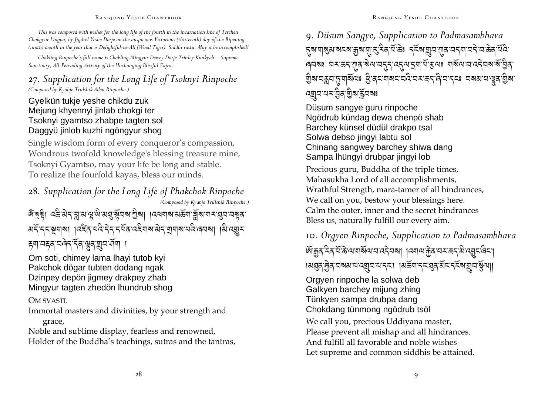#### RANGJUNG YESHE CHANTBOOK

*This was composed with wishes for the long life of the fourth in the incarnation line of Terchen Chokgyur Lingpa, by Jigdrel Yeshe Dorje on the auspicious Victorious (thirteenth) day of the Ripening (ninth) month in the year that is Delightful-to-All (Wood Tiger). Siddhi rastu. May it be accomplished!* 

*Chokling Rinpoche's full name is Chokling Mingyur Dewey Dorje Trinley Künkyab—Supreme Sanctuary, All-Pervading Activity of the Unchanging Blissful Vajra.* 

### 27*. Supplication for the Long Life of Tsoknyi Rinpoche (Composed by Kyabje Trulshik Adeu Rinpoche.)*

Gyelkün tukje yeshe chikdu zuk Mejung khyennyi jinlab chokgi ter Tsoknyi gyamtso zhabpe tagten sol Daggyü jinlob kuzhi ngöngyur shog

Single wisdom form of every conqueror's compassion, Wondrous twofold knowledge's blessing treasure mine, Tsoknyi Gyamtso, may your life be long and stable. To realize the fourfold kayas, bless our minds.

<sup>28</sup>*. Supplication for the Long Life of Phakchok Rinpoche (Composed by Kyabje Trülshik Rinpoche.)* 

### জ্ঞান্বয়্বী। ওষ্ণুস্থান্দ্ৰীয়ে প্ৰান্ত স্থান্দ্ৰীয়া । বিল্লাৰ প্ৰভূত্ৰা খ্ৰীৰ্ণ নাৰ্ম প্ৰবাৰ স্বৰ अने नया । अने अपने कार्य के अपने कार्य करने कार्य करने कार्य करने कार्य करने अपने कार्य करने अपने कार्य करने क ह्याञ्चह्राञ्चेन र्नेत भ्रुतञ्जञ्च्य न

Om soti, chimey lama lhayi tutob kyi Pakchok dögar tubten dodang ngak Dzinpey depön jigmey drakpey zhab Mingyur tagten zhedön lhundrub shog

OM SVASTI.

Immortal masters and divinities, by your strength and grace,

Noble and sublime display, fearless and renowned, Holder of the Buddha's teachings, sutras and the tantras, <sup>9</sup>*. Düsum Sangye, Supplication to Padmasambhava*  हुब गबुआ बदब कुब गु रु देव ये के - दर्दब गुव गुव वदन पत्री तक्ष्व ये दे ৰ্নৰঃ নমজন্স্ত্ৰমজনন্ত্ৰন্দ্ৰযুগ ইতিয়া মাৰ্কিন নৰ্ত্তন জট্টিৰ্ ম্রিম'নক্লন'চ্যুশর্মীন্যঃ খ্রি'ব্রন'শ্বমন'ন্নই'ন্সন'ন্দ্রীন'ন্দের নম্বম'ন'শ্লুব'শ্রীম' ন্ম্ৰ্ম মৰ্ম্ব ব্ৰিম্ব্ৰি বিৰোগ

Düsum sangye guru rinpoche Ngödrub kündag dewa chenpö shab Barchey künsel düdül drakpo tsal Solwa debso jingyi labtu sol Chinang sangwey barchey shiwa dang Sampa lhüngyi drubpar jingyi lob

Precious guru, Buddha of the triple times, Mahasukha Lord of all accomplishments, Wrathful Strength, mara-tamer of all hindrances, We call on you, bestow your blessings here. Calm the outer, inner and the secret hindrances Bless us, naturally fulfill our every aim.

<sup>10</sup>*. Orgyen Rinpoche, Supplication to Padmasambhava*  ঐক্ক্র হিন এক্টেপ্রামবিদের বিদ্যা । বিদ্রা এক্টি বিদ্রা বিদ্রী বিদ্যালী করা |মগ্ৰন্স্ট্ৰন্'নৰমা'ন'ন্য্ৰ্ম'ন'ন্'ন'| |মৰ্ক্লিম'ন্ম'-'গ্ৰন্'মঁম'ন্মুন'ৰ্মুন্ম||

Orgyen rinpoche la solwa deb Galkyen barchey mijung zhing Tünkyen sampa drubpa dang Chokdang tünmong ngödrub tsöl

We call you, precious Uddiyana master, Please prevent all mishap and all hindrances. And fulfill all favorable and noble wishes Let supreme and common siddhis be attained.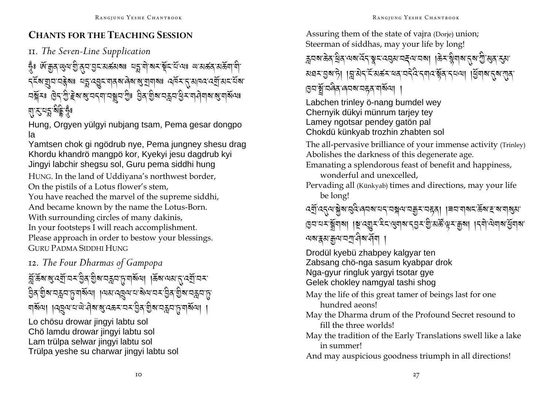### **CHANTS FOR THE TEACHING SESSION**

II. The Seven-Line Supplication

দ্ভ্ৰঁঃ & মুন্ন ড্ৰেম য়ু প্ৰসৰ্বিপ্ৰাপ্ত সম্ভ্ৰাপ্ত সম্ভ্ৰাপ্ত সম্ভ্ৰাপ্ত সম্ভ্ৰাপ্ত সম্ভ্ৰাপ্ত সম্ভ্ৰাপ্ত সম ২২খেত্ৰীসভাস্থ্ৰস্থা মুখ্য প্ৰতিযোগ প্ৰস্থা প্ৰায় প্ৰস্থা প্ৰস্থা প্ৰস্থা প্ৰস্থা প্ৰস্থা প্ৰস্থা অষ্ট্ৰমঃ ট্ৰন্স্ট্ৰম্ভ্ৰেম্বন্বামন্ত্ৰামন্ত্ৰীঃ ট্ৰক্স্মিত্ৰস্থ্ৰমন্ত্ৰীসমাধ্যমাৰ্থযায় কৰি য়ৼড়ৡড়ড়

Hung, Orgyen yülgyi nubjang tsam, Pema gesar dongpo la

Yamtsen chok gi ngödrub nye. Pema jungney shesu drag Khordu khandrö mangpö kor, Kyekyi jesu dagdrub kyi Jingyi labchir shegsu sol, Guru pema siddhi hung

HUNG. In the land of Uddiyana's northwest border, On the pistils of a Lotus flower's stem,

You have reached the marvel of the supreme siddhi, And became known by the name the Lotus-Born. With surrounding circles of many dakinis, In your footsteps I will reach accomplishment. Please approach in order to bestow your blessings. **GURU PADMA SIDDHI HUNG** 

12. The Four Dharmas of Gampopa

মুক্তিৰ মুত্ৰ্যাত্ম ইৰি গ্ৰীৰ অসম এ এক প্ৰায় কৰা প্ৰায় কৰা <u> ସ୍ପିବ୍ ଶ୍ରିବ୍ୟ ସ୍ୱର୍ଲ୍ୟ ନୂଆର୍ଥ୍ୟା । ।</u> ଏଣ୍ଟ ସ୍ୱର୍ଷ୍ୟ ସାହି ସ୍ଥାନ ସ୍ୱାର୍ଥ୍ୟ ସ୍ୱର୍ଲ୍ୟ ସ୍ୱ ঘর্ষমে। ।নত্নমামান্দ্রার্থারক্তমামম্ভ্রিষ্ট্রমামক্লমান্ত্রমাণ।

Lo chösu drowar jingyi labtu sol Chö lamdu drowar jingyi labtu sol Lam trülpa selwar jingyi labtu sol Trülpa veshe su charwar ijngvi labtu sol Assuring them of the state of vajra (Dorje) union; Steerman of siddhas, may your life by long! ক্কৃত্ৰমাঞ্জিৰ বিশেষ হৈ প্লিত প্ৰেপাত্ৰই আৰু প্ৰাণ্ড প্ৰিপান্ত প্ৰাণ্ড প্ৰিপান্ত প্ৰা য়য়ৼঀঀৗৢ । अत्र पुरुष्य अस्य पर्दर स्वादश्चेत्र रूपत्रा । सुराब स्वातात् ছেন'ৰ্ম্ম'নন্ত্ৰি'ন্ত্ৰম'ন্ন্নৰ'শৰ্মিশ্ৰ। Labchen trinley ö-nang bumdel wey Chernyik dükyi münrum tariey tey Lamey ngotsar pendey gatön pal Chokdü künkyab trozhin zhabten sol The all-pervasive brilliance of your immense activity (Trinley) Abolishes the darkness of this degenerate age. Emanating a splendorous feast of benefit and happiness, wonderful and unexcelled. Pervading all (Künkyab) times and directions, may your life be long! ৪ব নৰ স্থানৰ। ।ই ব্ৰিব বুৰ বিনিৰ এই বুৰ মুক্ত পৰা প্ৰান্তৰাৰ বিনা অৰাষ্ক্ৰমাক্কুন অশ্ৰম বিমা । Drodül kyebü zhabpey kalgyar ten Zabsang chö-nga sasum kyabpar drok Nga-gyur ringluk yargyi tsotar gye Gelek chokley namgyal tashi shog

- May the life of this great tamer of beings last for one hundred aeons!
- May the Dharma drum of the Profound Secret resound to fill the three worlds!
- May the tradition of the Early Translations swell like a lake in summer!

And may auspicious goodness triumph in all directions!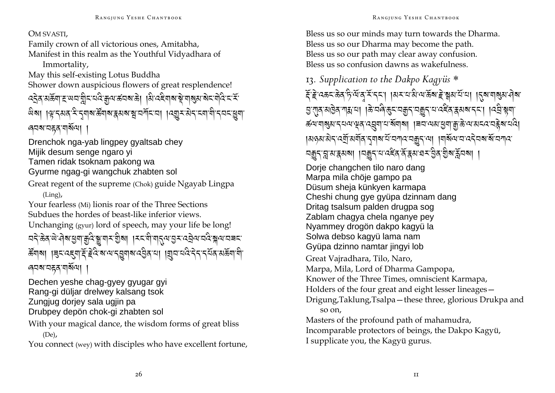#### OM SVASTI,

Family crown of all victorious ones. Amitabha. Manifest in this realm as the Youthful Vidyadhara of

Immortality,

May this self-existing Lotus Buddha Shower down auspicious flowers of great resplendence! द्देव अर्केषा हाथया प्लीदायदे कृषा क्षेत्रबाड़े। बि दहेषाबाञ्चे बाबुबाबेदावोदे दार्द ้ผิ่ม । भ्रुष्तअव रे तृ गया रुँगया दुसया सुपर्गाया । । यशुर से तान्या गे तयन सुग ৰ্ঘম'নহন'মৰ্মিন্মা ।

Drenchok nga-yab lingpey gyaltsab chey Mijik desum senge ngaro yi Tamen ridak tsoknam pakong wa Gyurme ngag-gi wangchuk zhabten sol

Great regent of the supreme (Chok) guide Ngayab Lingpa  $(Ling)$ ,

Your fearless (Mi) lionis roar of the Three Sections Subdues the hordes of beast-like inferior views. Unchanging (gyur) lord of speech, may your life be long! <u> यदे क्ष्य सेव्यज्ञिया क्रुपुन्ना राज्ञ</u>िला । रद्या यार्थिया विद्यालयुद्धिक्षे प्रायच्य क्रेंगबा । बुदादहुवादें हेवे बावाद्युवाबाद्युताया । बुदायवे देन दयंत अर्क्ष्वावी ৰেমম'নহন'মাৰ্মমে।

Dechen yeshe chag-gyey gyugar gyi Rang-gi düljar drelwey kalsang tsok Zungjug dorjey sala ugjin pa Drubpey depön chok-gi zhabten sol

With your magical dance, the wisdom forms of great bliss  $(De),$ 

You connect (wey) with disciples who have excellent fortune,

Bless us so our minds may turn towards the Dharma. Bless us so our Dharma may become the path. Bless us so our path may clear away confusion. Bless us so confusion dawns as wakefulness

### 13. Supplication to the Dakpo Kagyüs  $*$ दें हे दकर केव है या व रें दर्श । या या से वा केवा हे ब्रुयायें या । दिवा या ब्रुया वेवा ञ्जात अखित गद्य या । किं यति छून यक्कुन यक्कुन या दद्देत द्वयब नन्। । दच्चे श्लया ङ्ग्यायाञ्जुरा द्वयाभूवाद्वयायाञ्चाया। विवायवाञ्चयाञ्चाङ्गेयात्राव्यव्यवे बाद्या |ผดมามิรุ द्यू सर्वोत्र देवार में वर्गात वक्कु तथा । वार्बेल व दर्ववर बें वर्गात নক্কুন্ম্লমস্ক্ৰমমা ।নক্কুন্মমৰ্হেন্দ্ৰমাত্ত্বস্থা ইন্ন্য মা Dorie changchen tilo naro dang Marpa mila chöie gampo pa Düsum sheja künkyen karmapa Cheshi chung qye qyüpa dzinnam dang Dritag tsalsum palden drugpa sog Zablam chagya chela nganye pey Nyammey drogön dakpo kagyü la Solwa debso kagyü lama nam Gyüpa dzinno namtar jingyi lob Great Vairadhara, Tilo, Naro, Marpa, Mila, Lord of Dharma Gampopa, Knower of the Three Times, omniscient Karmapa, Holders of the four great and eight lesser lineages – Drigung, Taklung, Tsalpa - these three, glorious Drukpa and so on, Masters of the profound path of mahamudra,

Incomparable protectors of beings, the Dakpo Kagyü, I supplicate you, the Kagyü gurus.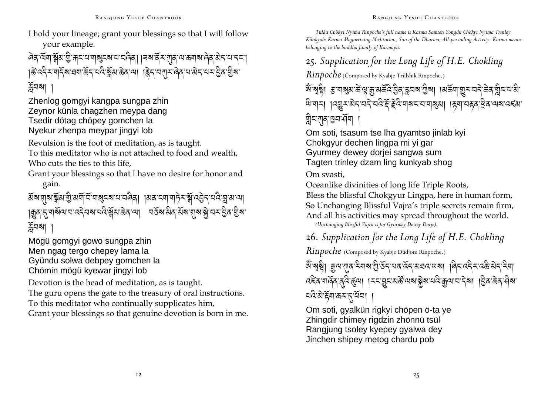I hold your lineage; grant your blessings so that I will follow your example.

वेव येंषा क्वेंस गुजानाया बाह्य का या वेवा । विद्यार्थ संयाज्यात्रा बेव सेनायानमा क्षिप्देन्याद्रिंबाद्ययाऊॅन्यदिञ्ज्ञॅअऊ्केवाया ।हेन्य्यमुन्यत्रेवाद्यम्यस्युवाद्येबा  $\widetilde{\mathbf{a}}$ নমা

Zhenlog gomgyi kangpa sungpa zhin Zeynor künla chagzhen meypa dang Tsedir dötag chöpey gomchen la Nyekur zhenpa meypar jingyi lob

Revulsion is the foot of meditation, as is taught.

To this meditator who is not attached to food and wealth, Who cuts the ties to this life,

Grant your blessings so that I have no desire for honor and gain.

ãब:बुब:क्क्षेत्र:ग्रु:बर्गे,दॅ:य|बुदब:य:यवैव| ।बव:द्या'य|ट्रेद:क्षे:दञ्जेद:द्व'त्रा:य| ।ক্কুৰ,'ন্'শৰ্মিন্ম'ন'নেইমন্ম'ন্মইস্ম'ক্কৰ'ন্ম। অৰ্ক্তৰামীৰ মিৰায়াৰ সম্প্ৰাস্থ্য  $\widetilde{A}^{\square}$ ৰ্মা

Mögü gomgyi gowo sungpa zhin Men ngag tergo chepey lama la Gyündu solwa debpey gomchen la Chömin mögü kyewar jingyi lob

Devotion is the head of meditation, as is taught.

The guru opens the gate to the treasury of oral instructions.

To this meditator who continually supplicates him,

Grant your blessings so that genuine devotion is born in me.

*Tulku Chökyi Nyima Rinpoche's full name is Karma Samten Yongdu Chökyi Nyima Trinley Künkyab: Karma Magnetizing Meditation, Sun of the Dharma, All-pervading Activity. Karma means belonging to the buddha family of Karmapa.* 

<sup>25</sup>*. Supplication for the Long Life of H.E. Chokling* 

*Rinpoche* (Composed by Kyabje Trülshik Rinpoche.)

ঞ্জন্মঙ্কী। স্কিন্মজ্যান্ত্ৰীয় প্ৰাপ্ত প্ৰাপ্ত প্ৰাপ্ত প্ৰাপ্ত পূৰ্ব প্ৰয়াৰ বিদ্ৰাপন্য স্বাপ্ত প্ৰাপ্ত প্ৰা ঞ্জিত্ৰামা ।(ব্ৰ্মুম্ব্ৰেম্বান্দ্ৰি,অৰ্জন আৰু প্ৰাৰ্থ্য । দ্বিশাঅন্তৰ্ শ্ৰিম্বান্দৰ্য কৰি ন্নীন্স্মৰ্বি ।<br>ম

Om soti, tsasum tse lha gyamtso jinlab kyi Chokgyur dechen lingpa mi yi gar Gyurmey dewey doriei sangwa sum Tagten trinley dzam ling kunkyab shog

Om svasti,

Oceanlike divinities of long life Triple Roots, Bless the blissful Chokgyur Lingpa, here in human form, So Unchanging Blissful Vajra's triple secrets remain firm, And all his activities may spread throughout the world.

*(Unchanging Blissful Vajra is for Gyurmey Dewey Dorje).* 

<sup>26</sup>*. Supplication for the Long Life of H.E. Chokling* 

*Rinpoche* (Composed by Kyabje Düdjom Rinpoche.)

ৰ্জঁ'ষৃষ্ণী ক্সুন্ম'শ্ৰুন্'-ইন্ম'শ্ৰু'ৰ্উন্'নৰ'ৰ্বন্'ৰ্মন'ৰ্মন'ৰ নি''ৰ কুমা दह्रदार्गार्वेदार्थुदार्था । रूदानुदाराञ्चें अवाञ्चेशायदिक्कृत्यायादेवा । त्रुवाऊवासीवा ¤দ্বিনীভূষাস্কৰ বিদ্যা

Om soti, gyalkün rigkyi chöpen ö-ta ye Zhingdir chimey rigdzin zhönnü tsül Rangjung tsoley kyepey gyalwa dey Jinchen shipey metog chardu pob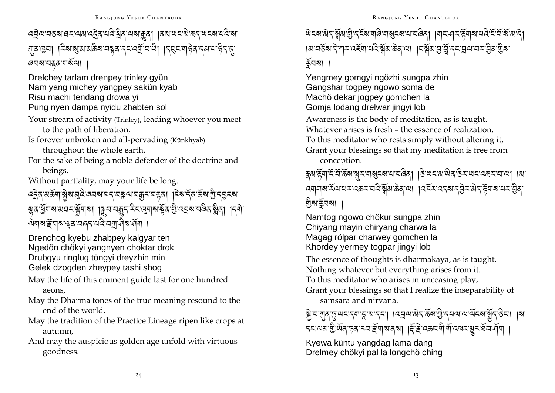# ব্র্রথ'নতৰ'ৱম'নয়'ব্র্রি'ন্দ্রি'ন্বি'ন্মৰ'ক্কুৰা ।ৰ্ম'শ্রম'ক্রম'শ্রেৰ'ন্স'ন্ रावाञ्चा । देवाबुरासक्केबायबूवाद्दादर्यां वाले। ।दसुदाबालेवादसायालेदादा । নবৰামন্ক্ৰ'মাৰ্ষিম্য ।

Drelchey tarlam drenpey trinley gyün Nam yang michey yangpey sakün kyab Risu machi tendang drowa vi Pung nyen dampa nyidu zhabten sol

Your stream of activity (Trinley), leading whoever you meet to the path of liberation,

Is forever unbroken and all-pervading (Künkhyab) throughout the whole earth.

For the sake of being a noble defender of the doctrine and beings,

Without partiality, may your life be long.

য়ৢঽ৾ড়ঀয়ৼয়য়ৼ৾য়ৢয়য়ঀ৾৾ঀঢ়ৣয়ৼড়ড়ৼ৻ৼৼ৻ড়য়ড়ৼৣ৾ঽৼঀৢৼড়৸ৼড়ড়ৼ৻ড়৸৸ৼড়ৗ ঐযাৰ ইমাৰ শ্ব'নৰৰ নহি ন<u>ম্ব</u>ৰ পৰা ।

Drenchog kyebu zhabpey kalgyar ten Ngedön chökyi yangnyen choktar drok Drubgyu ringlug töngyi dreyzhin min Gelek dzogden zheypey tashi shog

May the life of this eminent guide last for one hundred aeons.

- May the Dharma tones of the true meaning resound to the end of the world.
- May the tradition of the Practice Lineage ripen like crops at autumn,
- And may the auspicious golden age unfold with virtuous goodness.

# ติรสามิรุ สัมขับรรัสเตดิตสูรสนาสดิสุ เศรนุรหิตุสนส์รัสสัมริเ ।अ'वर्डेब'दे गार दहेंबा'वंदे क्लेंबाऊेव या ।वर्क्लेब मुर्ज़ि दर वयावर बुैव शुबा ৰ্ক্লবমা

Yengmey gomgyi ngözhi sungpa zhin Gangshar togpey ngowo soma de Machö dekar jogpey gomchen la Gomia lodang drelwar iingvi lob

Awareness is the body of meditation, as is taught. Whatever arises is fresh – the essence of realization To this meditator who rests simply without altering it, Grant your blessings so that my meditation is free from conception.

# ह्रवाद्ग्वादिविद्धिबाङ्गराषाबुदबायायवेवा ।उपयायालेव उरालदायकरायाया ।वा <u> देशवाबार्स्टियायसादकसावदेर्स्नेसार्केवाया । विजसादरवार्युदेसरीर्म्हेंबाबायसाहीवा</u> গ্ৰুম'ৰ্মুনমা

Namtog ngowo chökur sungpa zhin Chiyang mayin chiryang charwa la Magag rölpar charwey gomchen la Khordey yermey toqpar jingyi lob

The essence of thoughts is dharmakaya, as is taught. Nothing whatever but everything arises from it.

To this meditator who arises in unceasing play,

Grant your blessings so that I realize the inseparability of samsara and nirvana.

ब्रेज राज सिंखान्या सि. अ. रेटा । उसेल पुरे पूर्व में टेन के लाल कर रही रेड्रा । या *८* अत्र शुर्खेद हवा स्वाङ्ग्वाबादबा । हिंदे उक्र वीर्यो उत्तर बेच सेवा ।

Kyewa küntu yangdag lama dang Drelmey chökyi pal la longchö ching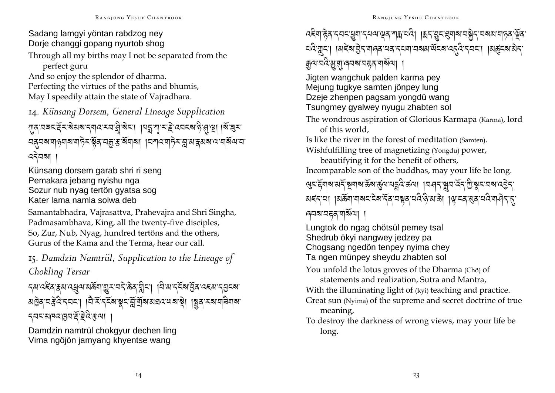### Sadang lamgyi yöntan rabdzog ney Dorje changgi gopang nyurtob shog

Through all my births may I not be separated from the perfect guru

And so enjoy the splendor of dharma. Perfecting the virtues of the paths and bhumis, May I speedily attain the state of Vajradhara.

14. Künsang Dorsem, General Lineage Supplication राव वचट दें र बेसब दगव र या से बेटा। विद्या गोर हे उत्तर बाढ़ी सा बाइर ঘ্ৰ্বঅশব্যন্ত্ৰাৰাণ্ট্ৰ শ্লুৰ অক্কু ইৰ্ণৰাৰা ।অশব্যাট্ৰ স্নু মান্নমৰাণ্যৰ মিণ্য আ ৎব্বিষা ।

Künsang dorsem garab shri ri seng Pemakara jebang nyishu nga Sozur nub nyag tertön gyatsa sog Kater lama namla solwa deb

Samantabhadra, Vajrasattva, Prahevajra and Shri Singha, Padmasambhava, King, all the twenty-five disciples, So, Zur, Nub, Nyag, hundred tertöns and the others, Gurus of the Kama and the Terma, hear our call.

15. Damdzin Namtrül, Supplication to the Lineage of Chokling Tersar

*ॸॺॱ*ঽৼঀৼৼয়ড়য়৸ড়ড়য়য়৾ড়ৢৼৼঢ়ৼড়ৠৼৗড়ৼড়ড়ড়ৼড়ড়ড়ৼড়ৼড়ৼড়ৼ ঝট্টৰ বস্তুপ্ত বিবাৰ । বিস্থাই বুৰ্তমান্ত ব্ৰাৰ্থী আৰু বিদ্যালয় । বিদ্যালয় প্ৰাৰ্থ *५*वदाबावदाश्चिद्धिंद्धिया ।

Damdzin namtrül chokgyur dechen ling Vima ngöjön jamyang khyentse wang

*৻*ঽ৾য়৾ৼৢঽ৾ৼ৴য়ৼৠৢয়ৗৼয়য়৾ড়য়ৗয়ৢয়য়ড়ঀৗৗয়৸ড়য়ৼয়য়য়য়ড়য়ৼঢ়ড়ৼড়ৢয়৾ घंदे यूद्रा ।अद्देश बुद्र वालव यव दयवा वरुत्र संदेश दद्दि दवदा ।अर्कुदरा सेद <u> क</u>ुव्य वदे:अु:स्'लवञ'वहव'यश्लित्रा ।

Jigten wangchuk palden karma pey Mejung tugkye samten jönpey lung Dzeie zhenpen pagsam vongdü wang Tsungmey gyalwey nyugu zhabten sol

The wondrous aspiration of Glorious Karmapa (Karma), lord of this world.

Is like the river in the forest of meditation (Samten). Wishfulfilling tree of magnetizing (Yongdu) power,

beautifying it for the benefit of others, Incomparable son of the buddhas, may your life be long. खुदद्गिषाअद्गेष्ठ्रवाषाऊँषार्कुषायङ्गदिर्ज्ञया । विसद्गञ्जयादेदारी श्रूदावषादतेन अह्राया ।अर्क्र्यायाबदादेबाद्रवायञ्चतायदेखेशका ।क्षाद्रवायवे यासेनारा ৰেনম'নহন'মাৰ্মমে। '

Lungtok do ngag chötsül pemey tsal Shedrub ökyi nangwey jedzey pa Chogsang ngedön tenpey nyima chey Ta ngen münpey sheydu zhabten sol

You unfold the lotus groves of the Dharma (Cho) of statements and realization. Sutra and Mantra.

With the illuminating light of (kyi) teaching and practice.

- Great sun (Nyima) of the supreme and secret doctrine of true meaning,
- To destroy the darkness of wrong views, may your life be long.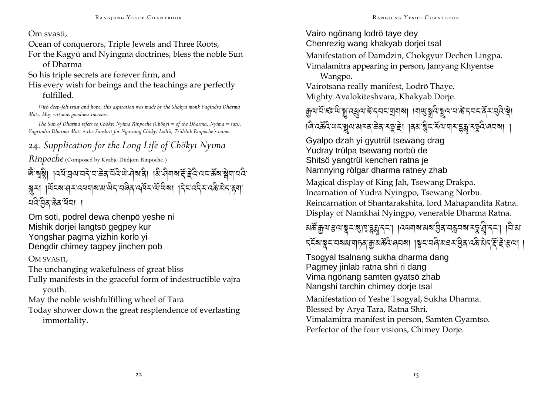#### Om svasti,

Ocean of conquerors, Triple Jewels and Three Roots,

For the Kagyü and Nyingma doctrines, bless the noble Sun of Dharma

So his triple secrets are forever firm, and

His every wish for beings and the teachings are perfectly fulfilled.

*With deep-felt trust and hope, this aspiration was made by the Shakya monk Vagindra Dharma Mati. May virtuous goodness increase.* 

*The Sun of Dharma refers to Chökyi Nyima Rinpoche (Chökyi = of the Dharma, Nyima = sun). Vagrindra Dharma Mati is the Sanskrit for Ngawang Chökyi Lodrö, Trülshik Rinpoche's name.* 

### <sup>24</sup>*. Supplication for the Long Life of Chökyi Nyima*

*Rinpoche* (Composed by Kyabje Düdjom Rinpoche.)

## ঞ্জন্মঙ্কী। বিৰ্ন্নব্ৰান্নই,ব্ৰাক্টৰ,ব্ৰ্ৱিজ্যৰীৰ,বিৰ্নিষ্ট,বিদ্ৰান্ন প্ৰুষ্মবান্ন প্ৰ क्करा ।लूटब:सेट:उलबीब:श.लूट:उर्खुर:उत्रूप:लूका ।ट्रेट:उर्ट्रट:उक्ल:इबी ন্দ্ৰীয়ক্ষিত্ৰ<sup>্</sup> প্ৰবা

Om soti, podrel dewa chenpö yeshe ni Mishik dorjei langtsö gegpey kur Yongshar pagma yizhin korlo yi Dengdir chimey tagpey jinchen pob

### OM SVASTI,

The unchanging wakefulness of great bliss

Fully manifests in the graceful form of indestructible vajra youth.

May the noble wishfulfilling wheel of Tara

Today shower down the great resplendence of everlasting immortality.

### Vairo ngönang lodrö taye dey Chenrezig wang khakyab dorjei tsal

Manifestation of Damdzin, Chokgyur Dechen Lingpa. Vimalamitra appearing in person, Jamyang Khyentse

Wangpo. Vairotsana really manifest, Lodrö Thaye. Mighty Avalokiteshvara, Khakyab Dorje.

क्विजा<u>सू इं. जुलियां स्रास्थ्य अस्ति । बिले अप</u>्रियां अस्य अस्य अस्ति अधि । यो अस्य अस्ति अस्ति अस्ति अस्ति अस् क्षिपदेहुँदिष्यदञ्जूयात्राववाळेवारङ्गहे। ।वृत्यञ्जैदार्दयायारङ्गङ्गारङ्गदेख्यब्य। ।

Gyalpo dzah yi gyutrül tsewang drag Yudray trülpa tsewang norbü de Shitsö yangtrül kenchen ratna je Namnying rölgar dharma ratney zhab

Magical display of King Jah, Tsewang Drakpa. Incarnation of Yudra Nyingpo, Tsewang Norbu. Reincarnation of Shantarakshita, lord Mahapandita Ratna. Display of Namkhai Nyingpo, venerable Dharma Ratna.

মর্স্কুজিন: স্কিদ্রান্ন ইম্নী বিদ্রান্ন । বিদ্রান্ন একেন্দ্র ব্রাইন্ন ব্রাইন্ন । বিরে

 $\mathcal{R}$ देवाञ्चयात्रयाणात्राज्ञात्रार्केदिलयवा ।ञ्चययविषययाङ्गेदादक्षेत्रोत $\widetilde{\mathcal{R}}$ ष्टिप्या ।

Tsogyal tsalnang sukha dharma dang Pagmey jinlab ratna shri ri dang Vima ngönang samten gyatsö zhab Nangshi tarchin chimey dorje tsal

Manifestation of Yeshe Tsogyal, Sukha Dharma. Blessed by Arya Tara, Ratna Shri. Vimalamitra manifest in person, Samten Gyamtso. Perfector of the four visions, Chimey Dorje.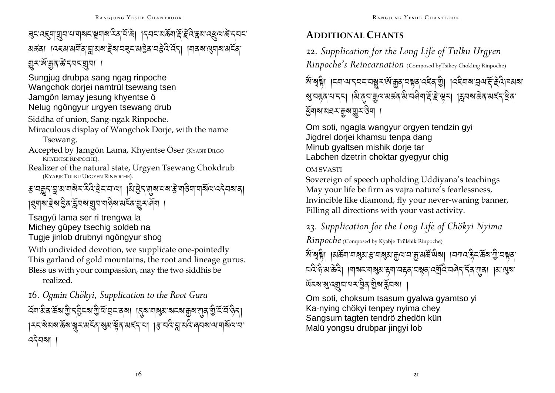# <u> इदादह्यायुवादायाबादाञ्च्याबादेवादीके। ।दवदायक्रयाद्देड्द्रिश्चत्रयाद्युवाक्रीदवदा</u> মৰ্ক্ৰা । বেহম'মৰ্মৰ ব্ল'মৰ' ইৰ'নৱুন'মন্ত্ৰৰ নষ্ট্ৰ হৈ ব্ৰা । নাৰৰ ন্ত্ৰনাৰ মৰ্নৰ এনঞ্জু-জুপুর্জ, প্রবার্ষ ।

Sungjug drubpa sang ngag rinpoche Wangchok dorjei namtrül tsewang tsen Jamgön lamav jesung khyentse ö Nelug ngöngyur urgyen tsewang drub

Siddha of union, Sang-ngak Rinpoche.

Miraculous display of Wangchok Dorje, with the name Tsewang.

Accepted by Jamgön Lama, Khyentse Öser (KYABJE DILGO KHYENTSE RINPOCHE).

Realizer of the natural state, Urgyen Tsewang Chokdrub (KYABJE TULKU URGYEN RINPOCHE).

*ड़ॱ*य़क़ॗॸॱक़ॗॱॺॱॺऻॺॆ≍ॱ<sup>ঽ</sup>दऀॱ<u>ॺ</u>ॆॸॱॸॱॺऻॱऻऄॱॿॖॆॸॱॹॺॱय़ॺॱड़ॆॱॺऻड़ऀॺऻॱॺऻॲऀऀॺॱढ़ॸॆय़ॺॱॺऻ 

Tsagyü lama ser ri trengwa la Michey güpey tsechig soldeb na Tugje jinlob drubnyi ngöngyur shog

With undivided devotion, we supplicate one-pointedly This garland of gold mountains, the root and lineage gurus. Bless us with your compassion, may the two siddhis be realized.

16. Ogmin Chökyi, Supplication to the Root Guru ক্ৰোষ্ণীৰ জৰা গ্ৰী বৰ্ত্তা আৰু বিৰোধী পৰি আৰু বিৰোধী পৰি বিৰোধী পৰি বিৰোধী সম্ভিতি বিৰোধী সম্ভিতি বি । মমাৰীয়ৰ উপাৰী সামূহৰ প্ৰায় দুৰি পৰ্যন্ত নাৰী বিষয়ে প্ৰতি আৰু প্ৰায় কৰা বিষয়া স ৎব্বিষা ।

### **ADDITIONAL CHANTS**

22. Supplication for the Long Life of Tulku Urgyen Rinpoche's Reincarnation (Composed byTsikey Chokling Rinpoche)

জ্ঞান্ত্ৰষ্ট্ৰা ।ম্বাঅ'ম্বমম্মস্কুমজ্ঞান্ত্ৰম্ব'মন্ত্ৰম্ব'ৰীৰ বিষ্ণাত্ৰামৰ্ম্ম কৰি বিষ্ণাত্ৰম अत्रहवायादत् । शिल्याक्कृषारार्कवारी वसीयाद्दी हे सूत्र । क्षितबाक्केवारार्द्दा सेवा *প্ৰ্*ৰাৰামঘন:মুৰায়ুনউনা

Om soti, ngagla wangyur orgyen tendzin gyi Jigdrel doriei khamsu tenpa dang Minub gyaltsen mishik dorje tar Labchen dzetrin choktar gyegyur chig

### **OM SVASTI**

Sovereign of speech upholding Uddiyana's teachings May your life be firm as vajra nature's fearlessness, Invincible like diamond, fly your never-waning banner, Filling all directions with your vast activity.

23. Supplication for the Long Life of Chökyi Nyima

*Rinpoche* (Composed by Kyabje Trülshik Rinpoche)

জ্ঞান্ত্ৰষ্টা ।মৰ্ক্ৰমাশৰ্ম্মস্থাস্থ্যাস্থ্যাস্মান্মন্থা আৰু মানী ।বশ্যাস্থিত স্থান্মৰ यदे हे अ ळेदे। ।याबद्ययाञ्जुअ ह्या वहव वञ्चव दर्युदि वलेन नॅव राव। ।अ सुब *উ*হৰাৰাৰে বিদ্যালয় কৰা

Om soti, choksum tsasum gyalwa gyamtso yi Ka-nying chökyi tenpey nyima chey Sangsum tagten tendrö zhedön kün Malü yongsu drubpar jingyi lob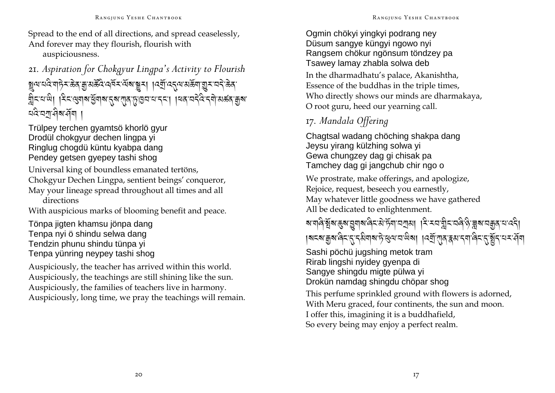Spread to the end of all directions, and spread ceaselessly, And forever may they flourish, flourish with auspiciousness.

<sup>21</sup>*. Aspiration for Chokgyur Lingpa's Activity to Flourish*  ষ্ণুনম্বন্দ্ৰান্ট সঞ্জৰ শ্ৰীপ্ৰপূৰ্ত্ত প্ৰদ্ৰমন্ত্ৰী । বৰ্মী বৰ্দী প্ৰপ্ৰাৱী ৰাত্ৰী প্ৰদ্ৰমন্ত্ৰী ম্ব্ৰিম্নজী । $\pm$ মঞ্জীৰ সম্ভিলীৰ প্ৰিম্পৰ্টি,প্ৰিল্ন্ন নেল্ল, । নিৰ্ব্বিষ্ণু প্ৰজ্ঞান প্ৰিৰ্জন ¤&অশুৰিমৰ্শি ।

Trülpey terchen gyamtsö khorlö gyur Drodül chokgyur dechen lingpa yi Ringlug chogdü küntu kyabpa dang Pendey getsen gyepey tashi shog

Universal king of boundless emanated tertöns, Chokgyur Dechen Lingpa, sentient beings' conqueror, May your lineage spread throughout all times and all directions

With auspicious marks of blooming benefit and peace.

Tönpa jigten khamsu jönpa dang Tenpa nyi ö shindu selwa dang Tendzin phunu shindu tünpa yi Tenpa yünring neypey tashi shog

Auspiciously, the teacher has arrived within this world. Auspiciously, the teachings are still shining like the sun. Auspiciously, the families of teachers live in harmony. Auspiciously, long time, we pray the teachings will remain.

#### Ogmin chökyi yingkyi podrang ney Düsum sangye küngyi ngowo nyi Rangsem chökur ngönsum töndzey pa Tsawey lamay zhabla solwa deb

In the dharmadhatu's palace, Akanishtha, Essence of the buddhas in the triple times, Who directly shows our minds are dharmakaya, O root guru, heed our yearning call.

### 17*. Mandala Offering*

Chagtsal wadang chöching shakpa dang Jeysu yirang külzhing solwa yi Gewa chungzey dag gi chisak pa Tamchey dag gi jangchub chir ngo o

We prostrate, make offerings, and apologize, Rejoice, request, beseech you earnestly, May whatever little goodness we have gathered All be dedicated to enlightenment.

ৰ মানীৰী স্থাৰ স্বিত্ৰ স্থানীৰ কৰি নামীৰ স্বাৰী স্বাৰী স্বাৰী স্বাৰী স্বাৰী স্বাৰী স্বাৰী স্বাৰী স্বাৰী স্বাৰী ।ষ¤ষ'ক্কুম'ৰ্নি'ন্ম'ন্ম'ৰ্ম'ট'ধ্ৰম'ন'থিষা ।ৰৰ্শ্ৰ'মুৰ'ৰ্ম'ন্ম'ৰ্নি'ন্ম'ৰ্ষ্টুন'ন্ম'ৰ্শ্

Sashi pöchü jugshing metok tram Rirab lingshi nyidey gyenpa di Sangye shingdu migte pülwa yi Drokün namdag shingdu chöpar shog

This perfume sprinkled ground with flowers is adorned, With Meru graced, four continents, the sun and moon. I offer this, imagining it is a buddhafield, So every being may enjoy a perfect realm.